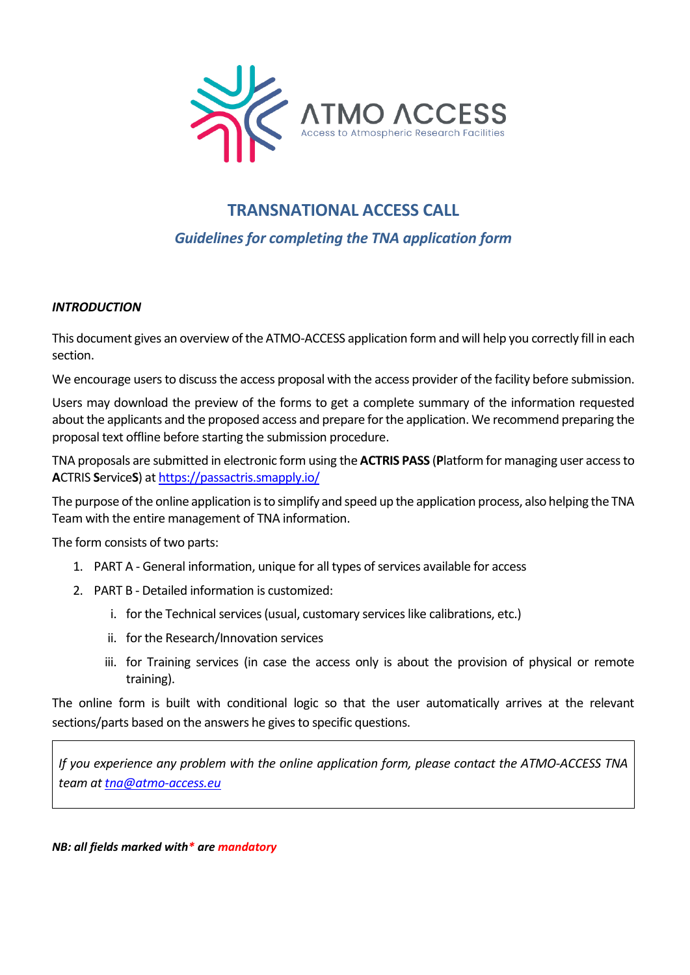

# **TRANSNATIONAL ACCESS CALL** *Guidelines for completing the TNA application form*

# *INTRODUCTION*

This document gives an overview of the ATMO-ACCESS application form and will help you correctly fill in each section.

We encourage users to discuss the access proposal with the access provider of the facility before submission.

Users may download the preview of the forms to get a complete summary of the information requested about the applicants and the proposed access and prepare for the application. We recommend preparing the proposal text offline before starting the submission procedure.

TNA proposals are submitted in electronic form using the **ACTRIS PASS** (**P**latform for managing user access to **A**CTRIS **S**ervice**S**) at <https://passactris.smapply.io/>

The purpose of the online application is to simplify and speed up the application process, also helping the TNA Team with the entire management of TNA information.

The form consists of two parts:

- 1. PART A General information, unique for all types of services available for access
- 2. PART B Detailed information is customized:
	- i. for the Technical services (usual, customary services like calibrations, etc.)
	- ii. for the Research/Innovation services
	- iii. for Training services (in case the access only is about the provision of physical or remote training).

The online form is built with conditional logic so that the user automatically arrives at the relevant sections/parts based on the answers he gives to specific questions.

*If you experience any problem with the online application form, please contact the ATMO-ACCESS TNA team a[t tna@atmo-access.eu](mailto:tna@atmo-access.eu)*

*NB: all fields marked with\* are mandatory*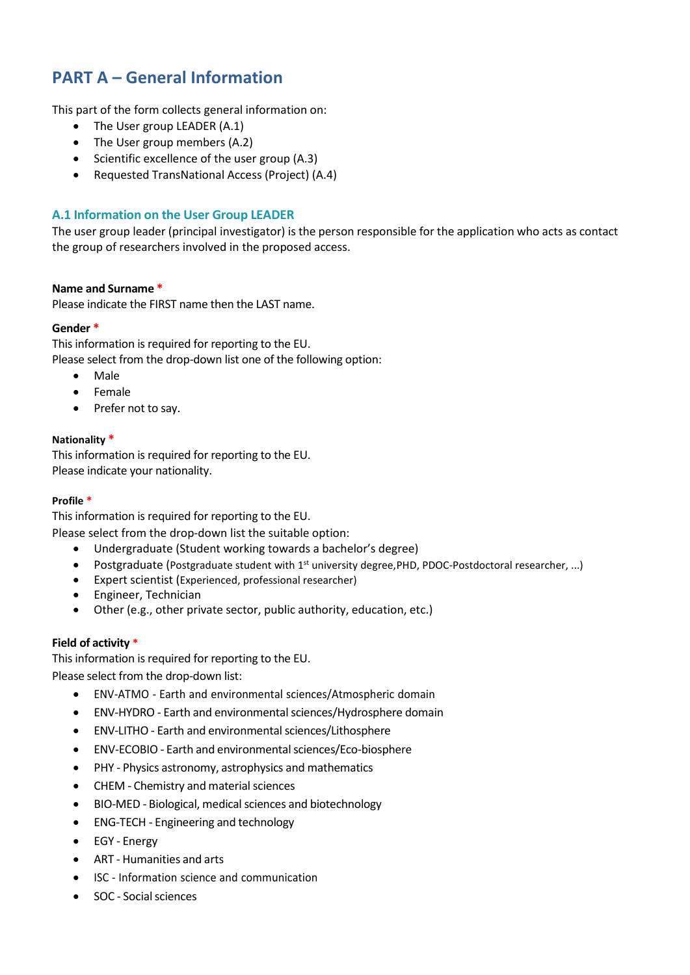# **PART A – General Information**

This part of the form collects general information on:

- The User group LEADER (A.1)
- The User group members (A.2)
- $\bullet$  Scientific excellence of the user group (A.3)
- Requested TransNational Access (Project) (A.4)

# **A.1 Information on the User Group LEADER**

The user group leader (principal investigator) is the person responsible for the application who acts as contact the group of researchers involved in the proposed access.

### **Name and Surname \***

Please indicate the FIRST name then the LAST name.

# **Gender \***

This information is required for reporting to the EU. Please select from the drop-down list one of the following option:

- Male
- Female
- Prefer not to say.

# **Nationality \***

This information is required for reporting to the EU. Please indicate your nationality.

### **Profile \***

This information is required for reporting to the EU.

Please select from the drop-down list the suitable option:

- Undergraduate (Student working towards a bachelor's degree)
- **•** Postgraduate (Postgraduate student with  $1<sup>st</sup>$  university degree, PHD, PDOC-Postdoctoral researcher, ...)
- Expert scientist (Experienced, professional researcher)
- Engineer, Technician
- Other (e.g., other private sector, public authority, education, etc.)

# **Field of activity \***

This information is required for reporting to the EU. Please select from the drop-down list:

- - ENV-ATMO Earth and environmental sciences/Atmospheric domain
	- ENV-HYDRO Earth and environmentalsciences/Hydrosphere domain
	- ENV-LITHO Earth and environmental sciences/Lithosphere
	- ENV-ECOBIO Earth and environmental sciences/Eco-biosphere
	- PHY Physics astronomy, astrophysics and mathematics
	- CHEM Chemistry and material sciences
	- BIO-MED Biological, medical sciences and biotechnology
	- ENG-TECH Engineering and technology
	- EGY Energy
	- ART Humanities and arts
	- ISC Information science and communication
	- SOC Social sciences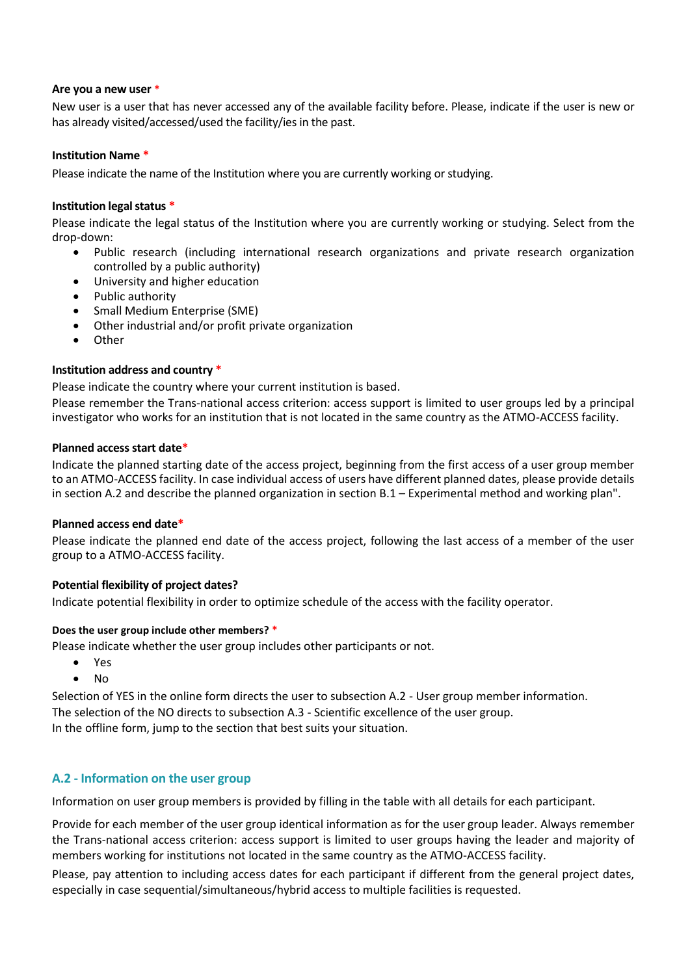### **Are you a new user \***

New user is a user that has never accessed any of the available facility before. Please, indicate if the user is new or has already visited/accessed/used the facility/ies in the past.

### **Institution Name \***

Please indicate the name of the Institution where you are currently working or studying.

### **Institution legal status** \*

Please indicate the legal status of the Institution where you are currently working or studying. Select from the drop-down:

- Public research (including international research organizations and private research organization controlled by a public authority)
- University and higher education
- Public authority
- Small Medium Enterprise (SME)
- Other industrial and/or profit private organization
- Other

### **Institution address and country \***

Please indicate the country where your current institution is based.

Please remember the Trans-national access criterion: access support is limited to user groups led by a principal investigator who works for an institution that is not located in the same country as the ATMO-ACCESS facility.

### **Planned access start date\***

Indicate the planned starting date of the access project, beginning from the first access of a user group member to an ATMO-ACCESS facility. In case individual access of users have different planned dates, please provide details in section A.2 and describe the planned organization in section B.1 – Experimental method and working plan".

### **Planned access end date\***

Please indicate the planned end date of the access project, following the last access of a member of the user group to a ATMO-ACCESS facility.

### **Potential flexibility of project dates?**

Indicate potential flexibility in order to optimize schedule of the access with the facility operator.

### **Does the user group include other members? \***

Please indicate whether the user group includes other participants or not.

- Yes
- No

Selection of YES in the online form directs the user to subsection A.2 - User group member information. The selection of the NO directs to subsection A.3 - Scientific excellence of the user group. In the offline form, jump to the section that best suits your situation.

### **A.2 - Information on the user group**

Information on user group members is provided by filling in the table with all details for each participant.

Provide for each member of the user group identical information as for the user group leader. Always remember the Trans-national access criterion: access support is limited to user groups having the leader and majority of members working for institutions not located in the same country as the ATMO-ACCESS facility.

Please, pay attention to including access dates for each participant if different from the general project dates, especially in case sequential/simultaneous/hybrid access to multiple facilities is requested.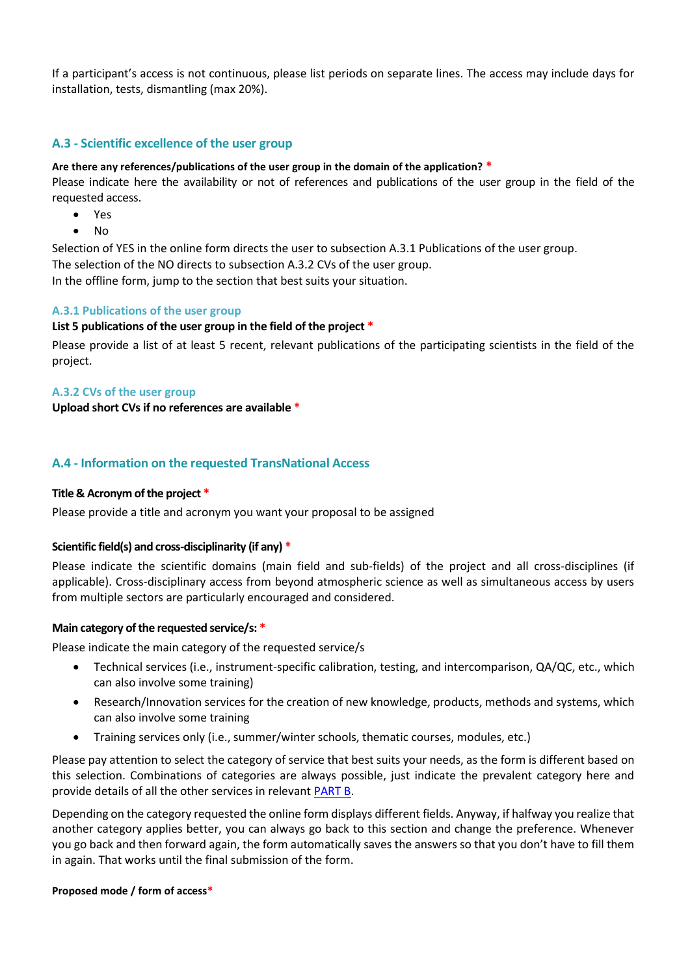If a participant's access is not continuous, please list periods on separate lines. The access may include days for installation, tests, dismantling (max 20%).

# **A.3 - Scientific excellence of the user group**

### **Are there any references/publications of the user group in the domain of the application? \***

Please indicate here the availability or not of references and publications of the user group in the field of the requested access.

- Yes
- No

Selection of YES in the online form directs the user to subsection A.3.1 Publications of the user group. The selection of the NO directs to subsection A.3.2 CVs of the user group. In the offline form, jump to the section that best suits your situation.

### **A.3.1 Publications of the user group**

### **List 5 publications of the user group in the field of the project \***

Please provide a list of at least 5 recent, relevant publications of the participating scientists in the field of the project.

### **A.3.2 CVs of the user group**

**Upload short CVs if no references are available \***

### **A.4 - Information on the requested TransNational Access**

### **Title & Acronym of the project \***

Please provide a title and acronym you want your proposal to be assigned

### **Scientific field(s) and cross-disciplinarity (if any) \***

Please indicate the scientific domains (main field and sub-fields) of the project and all cross-disciplines (if applicable). Cross-disciplinary access from beyond atmospheric science as well as simultaneous access by users from multiple sectors are particularly encouraged and considered.

### <span id="page-3-0"></span>**Main category of the requested service/s: \***

Please indicate the main category of the requested service/s

- Technical services (i.e., instrument-specific calibration, testing, and intercomparison, QA/QC, etc., which can also involve some training)
- Research/Innovation services for the creation of new knowledge, products, methods and systems, which can also involve some training
- Training services only (i.e., summer/winter schools, thematic courses, modules, etc.)

Please pay attention to select the category of service that best suits your needs, as the form is different based on this selection. Combinations of categories are always possible, just indicate the prevalent category here and provide details of all the other services in relevant **PART B**.

Depending on the category requested the online form displays different fields. Anyway, if halfway you realize that another category applies better, you can always go back to this section and change the preference. Whenever you go back and then forward again, the form automatically saves the answers so that you don't have to fill them in again. That works until the final submission of the form.

### **Proposed mode / form of access\***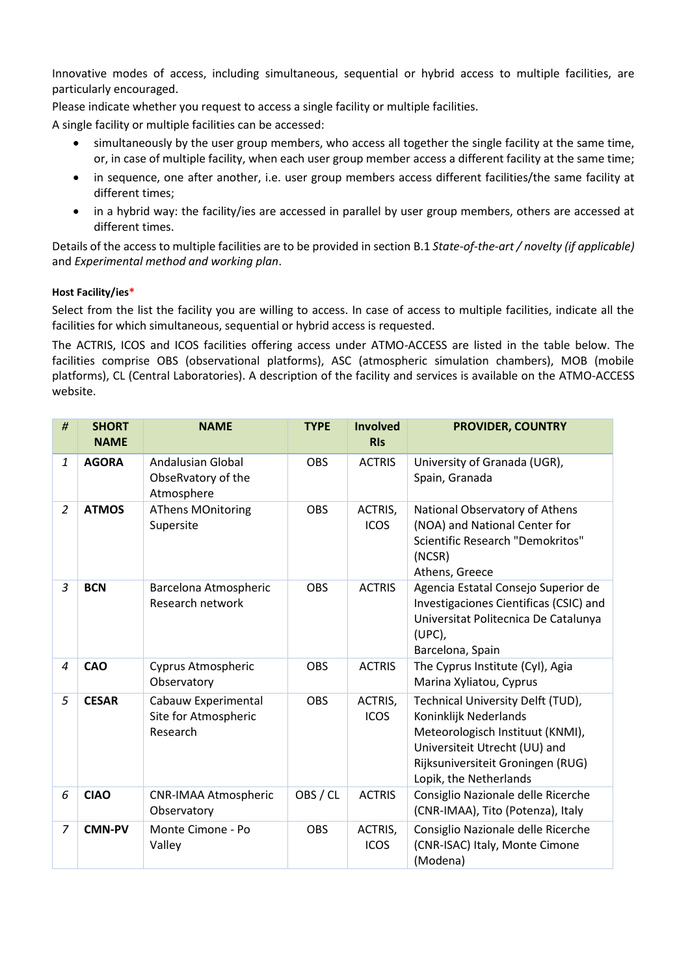Innovative modes of access, including simultaneous, sequential or hybrid access to multiple facilities, are particularly encouraged.

Please indicate whether you request to access a single facility or multiple facilities.

A single facility or multiple facilities can be accessed:

- simultaneously by the user group members, who access all together the single facility at the same time, or, in case of multiple facility, when each user group member access a different facility at the same time;
- in sequence, one after another, i.e. user group members access different facilities/the same facility at different times;
- in a hybrid way: the facility/ies are accessed in parallel by user group members, others are accessed at different times.

Details of the access to multiple facilities are to be provided in section B.1 *State-of-the-art / novelty (if applicable)* and *Experimental method and working plan*.

### **Host Facility/ies\***

Select from the list the facility you are willing to access. In case of access to multiple facilities, indicate all the facilities for which simultaneous, sequential or hybrid access is requested.

The ACTRIS, ICOS and ICOS facilities offering access under ATMO-ACCESS are listed in the table below. The facilities comprise OBS (observational platforms), ASC (atmospheric simulation chambers), MOB (mobile platforms), CL (Central Laboratories). A description of the facility and services is available on the ATMO-ACCESS website.

| #              | <b>SHORT</b><br><b>NAME</b> | <b>NAME</b>                                                  | <b>TYPE</b> | <b>Involved</b><br><b>RIs</b> | <b>PROVIDER, COUNTRY</b>                                                                                                                                                                       |
|----------------|-----------------------------|--------------------------------------------------------------|-------------|-------------------------------|------------------------------------------------------------------------------------------------------------------------------------------------------------------------------------------------|
| 1              | <b>AGORA</b>                | <b>Andalusian Global</b><br>ObseRvatory of the<br>Atmosphere | <b>OBS</b>  | <b>ACTRIS</b>                 | University of Granada (UGR),<br>Spain, Granada                                                                                                                                                 |
| $\overline{2}$ | <b>ATMOS</b>                | <b>AThens MOnitoring</b><br>Supersite                        | <b>OBS</b>  | ACTRIS,<br><b>ICOS</b>        | National Observatory of Athens<br>(NOA) and National Center for<br>Scientific Research "Demokritos"<br>(NCSR)<br>Athens, Greece                                                                |
| 3              | <b>BCN</b>                  | Barcelona Atmospheric<br>Research network                    | <b>OBS</b>  | <b>ACTRIS</b>                 | Agencia Estatal Consejo Superior de<br>Investigaciones Cientificas (CSIC) and<br>Universitat Politecnica De Catalunya<br>(UPC),<br>Barcelona, Spain                                            |
| 4              | <b>CAO</b>                  | Cyprus Atmospheric<br>Observatory                            | <b>OBS</b>  | <b>ACTRIS</b>                 | The Cyprus Institute (Cyl), Agia<br>Marina Xyliatou, Cyprus                                                                                                                                    |
| 5              | <b>CESAR</b>                | Cabauw Experimental<br>Site for Atmospheric<br>Research      | <b>OBS</b>  | ACTRIS,<br><b>ICOS</b>        | Technical University Delft (TUD),<br>Koninklijk Nederlands<br>Meteorologisch Instituut (KNMI),<br>Universiteit Utrecht (UU) and<br>Rijksuniversiteit Groningen (RUG)<br>Lopik, the Netherlands |
| 6              | <b>CIAO</b>                 | <b>CNR-IMAA Atmospheric</b><br>Observatory                   | OBS / CL    | <b>ACTRIS</b>                 | Consiglio Nazionale delle Ricerche<br>(CNR-IMAA), Tito (Potenza), Italy                                                                                                                        |
| 7              | <b>CMN-PV</b>               | Monte Cimone - Po<br>Valley                                  | <b>OBS</b>  | ACTRIS,<br><b>ICOS</b>        | Consiglio Nazionale delle Ricerche<br>(CNR-ISAC) Italy, Monte Cimone<br>(Modena)                                                                                                               |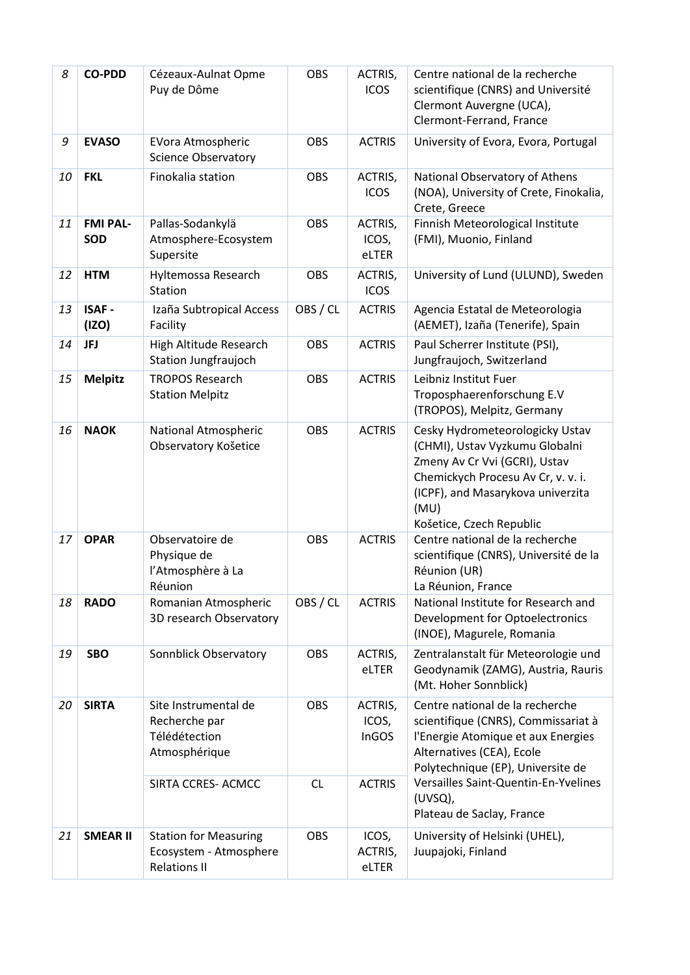| 8  | <b>CO-PDD</b>                 | Cézeaux-Aulnat Opme<br>Puy de Dôme                                            | OBS        | ACTRIS,<br><b>ICOS</b>    | Centre national de la recherche<br>scientifique (CNRS) and Université<br>Clermont Auvergne (UCA),<br>Clermont-Ferrand, France                                                                                     |
|----|-------------------------------|-------------------------------------------------------------------------------|------------|---------------------------|-------------------------------------------------------------------------------------------------------------------------------------------------------------------------------------------------------------------|
| 9  | <b>EVASO</b>                  | <b>EVora Atmospheric</b><br><b>Science Observatory</b>                        | OBS        | <b>ACTRIS</b>             | University of Evora, Evora, Portugal                                                                                                                                                                              |
| 10 | <b>FKL</b>                    | Finokalia station                                                             | <b>OBS</b> | ACTRIS,<br><b>ICOS</b>    | National Observatory of Athens<br>(NOA), University of Crete, Finokalia,<br>Crete, Greece                                                                                                                         |
| 11 | <b>FMI PAL-</b><br><b>SOD</b> | Pallas-Sodankylä<br>Atmosphere-Ecosystem<br>Supersite                         | OBS        | ACTRIS,<br>ICOS,<br>eLTER | Finnish Meteorological Institute<br>(FMI), Muonio, Finland                                                                                                                                                        |
| 12 | <b>HTM</b>                    | Hyltemossa Research<br>Station                                                | OBS        | ACTRIS,<br><b>ICOS</b>    | University of Lund (ULUND), Sweden                                                                                                                                                                                |
| 13 | <b>ISAF-</b><br>(IZO)         | Izaña Subtropical Access<br>Facility                                          | OBS / CL   | <b>ACTRIS</b>             | Agencia Estatal de Meteorologia<br>(AEMET), Izaña (Tenerife), Spain                                                                                                                                               |
| 14 | <b>JFJ</b>                    | High Altitude Research<br><b>Station Jungfraujoch</b>                         | OBS        | <b>ACTRIS</b>             | Paul Scherrer Institute (PSI),<br>Jungfraujoch, Switzerland                                                                                                                                                       |
| 15 | <b>Melpitz</b>                | <b>TROPOS Research</b><br><b>Station Melpitz</b>                              | OBS        | <b>ACTRIS</b>             | Leibniz Institut Fuer<br>Troposphaerenforschung E.V<br>(TROPOS), Melpitz, Germany                                                                                                                                 |
| 16 | <b>NAOK</b>                   | National Atmospheric<br>Observatory Košetice                                  | <b>OBS</b> | <b>ACTRIS</b>             | Cesky Hydrometeorologicky Ustav<br>(CHMI), Ustav Vyzkumu Globalni<br>Zmeny Av Cr Vvi (GCRI), Ustav<br>Chemickych Procesu Av Cr, v. v. i.<br>(ICPF), and Masarykova univerzita<br>(MU)<br>Košetice, Czech Republic |
| 17 | <b>OPAR</b>                   | Observatoire de<br>Physique de<br>l'Atmosphère à La<br>Réunion                | OBS        | <b>ACTRIS</b>             | Centre national de la recherche<br>scientifique (CNRS), Université de la<br>Réunion (UR)<br>La Réunion, France                                                                                                    |
| 18 | <b>RADO</b>                   | Romanian Atmospheric<br>3D research Observatory                               | OBS / CL   | <b>ACTRIS</b>             | National Institute for Research and<br>Development for Optoelectronics<br>(INOE), Magurele, Romania                                                                                                               |
| 19 | <b>SBO</b>                    | Sonnblick Observatory                                                         | <b>OBS</b> | ACTRIS,<br>eLTER          | Zentralanstalt für Meteorologie und<br>Geodynamik (ZAMG), Austria, Rauris<br>(Mt. Hoher Sonnblick)                                                                                                                |
| 20 | <b>SIRTA</b>                  | Site Instrumental de<br>Recherche par<br>Télédétection<br>Atmosphérique       | <b>OBS</b> | ACTRIS,<br>ICOS,<br>InGOS | Centre national de la recherche<br>scientifique (CNRS), Commissariat à<br>l'Energie Atomique et aux Energies<br>Alternatives (CEA), Ecole<br>Polytechnique (EP), Universite de                                    |
|    |                               | SIRTA CCRES- ACMCC                                                            | <b>CL</b>  | <b>ACTRIS</b>             | Versailles Saint-Quentin-En-Yvelines<br>$(UVSQ)$ ,<br>Plateau de Saclay, France                                                                                                                                   |
| 21 | <b>SMEAR II</b>               | <b>Station for Measuring</b><br>Ecosystem - Atmosphere<br><b>Relations II</b> | <b>OBS</b> | ICOS,<br>ACTRIS,<br>eLTER | University of Helsinki (UHEL),<br>Juupajoki, Finland                                                                                                                                                              |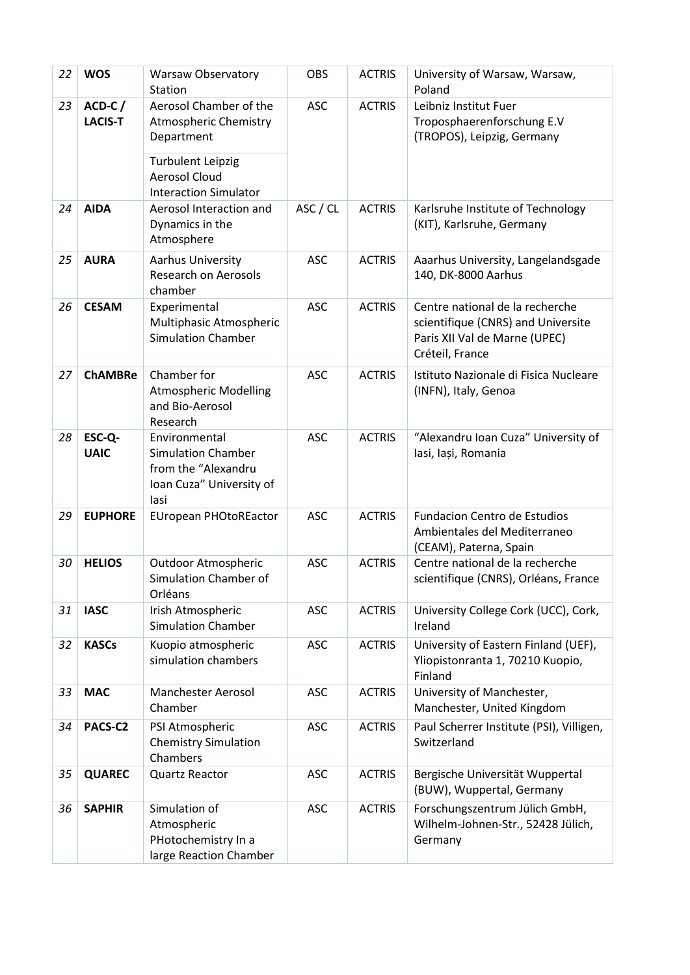| 22 | <b>WOS</b>               | <b>Warsaw Observatory</b><br>Station                                                                  | <b>OBS</b> | <b>ACTRIS</b> | University of Warsaw, Warsaw,<br>Poland                                                                                   |
|----|--------------------------|-------------------------------------------------------------------------------------------------------|------------|---------------|---------------------------------------------------------------------------------------------------------------------------|
| 23 | ACD-C/<br><b>LACIS-T</b> | Aerosol Chamber of the<br><b>Atmospheric Chemistry</b><br>Department                                  | <b>ASC</b> | <b>ACTRIS</b> | Leibniz Institut Fuer<br>Troposphaerenforschung E.V<br>(TROPOS), Leipzig, Germany                                         |
|    |                          | <b>Turbulent Leipzig</b><br><b>Aerosol Cloud</b><br><b>Interaction Simulator</b>                      |            |               |                                                                                                                           |
| 24 | <b>AIDA</b>              | Aerosol Interaction and<br>Dynamics in the<br>Atmosphere                                              | ASC / CL   | <b>ACTRIS</b> | Karlsruhe Institute of Technology<br>(KIT), Karlsruhe, Germany                                                            |
| 25 | <b>AURA</b>              | Aarhus University<br>Research on Aerosols<br>chamber                                                  | <b>ASC</b> | <b>ACTRIS</b> | Aaarhus University, Langelandsgade<br>140, DK-8000 Aarhus                                                                 |
| 26 | <b>CESAM</b>             | Experimental<br>Multiphasic Atmospheric<br><b>Simulation Chamber</b>                                  | <b>ASC</b> | <b>ACTRIS</b> | Centre national de la recherche<br>scientifique (CNRS) and Universite<br>Paris XII Val de Marne (UPEC)<br>Créteil, France |
| 27 | <b>ChAMBRe</b>           | Chamber for<br><b>Atmospheric Modelling</b><br>and Bio-Aerosol<br>Research                            | <b>ASC</b> | <b>ACTRIS</b> | Istituto Nazionale di Fisica Nucleare<br>(INFN), Italy, Genoa                                                             |
| 28 | ESC-Q-<br><b>UAIC</b>    | Environmental<br><b>Simulation Chamber</b><br>from the "Alexandru<br>Ioan Cuza" University of<br>lasi | <b>ASC</b> | <b>ACTRIS</b> | "Alexandru Ioan Cuza" University of<br>lasi, lași, Romania                                                                |
| 29 | <b>EUPHORE</b>           | <b>EUropean PHOtoREactor</b>                                                                          | <b>ASC</b> | <b>ACTRIS</b> | <b>Fundacion Centro de Estudios</b><br>Ambientales del Mediterraneo<br>(CEAM), Paterna, Spain                             |
| 30 | <b>HELIOS</b>            | <b>Outdoor Atmospheric</b><br>Simulation Chamber of<br>Orléans                                        | <b>ASC</b> | <b>ACTRIS</b> | Centre national de la recherche<br>scientifique (CNRS), Orléans, France                                                   |
| 31 | <b>IASC</b>              | Irish Atmospheric<br><b>Simulation Chamber</b>                                                        | <b>ASC</b> | <b>ACTRIS</b> | University College Cork (UCC), Cork,<br>Ireland                                                                           |
| 32 | <b>KASCs</b>             | Kuopio atmospheric<br>simulation chambers                                                             | <b>ASC</b> | <b>ACTRIS</b> | University of Eastern Finland (UEF),<br>Yliopistonranta 1, 70210 Kuopio,<br>Finland                                       |
| 33 | <b>MAC</b>               | <b>Manchester Aerosol</b><br>Chamber                                                                  | <b>ASC</b> | <b>ACTRIS</b> | University of Manchester,<br>Manchester, United Kingdom                                                                   |
| 34 | PACS-C2                  | PSI Atmospheric<br><b>Chemistry Simulation</b><br>Chambers                                            | <b>ASC</b> | <b>ACTRIS</b> | Paul Scherrer Institute (PSI), Villigen,<br>Switzerland                                                                   |
| 35 | <b>QUAREC</b>            | Quartz Reactor                                                                                        | <b>ASC</b> | <b>ACTRIS</b> | Bergische Universität Wuppertal<br>(BUW), Wuppertal, Germany                                                              |
| 36 | <b>SAPHIR</b>            | Simulation of<br>Atmospheric<br>PHotochemistry In a<br>large Reaction Chamber                         | <b>ASC</b> | <b>ACTRIS</b> | Forschungszentrum Jülich GmbH,<br>Wilhelm-Johnen-Str., 52428 Jülich,<br>Germany                                           |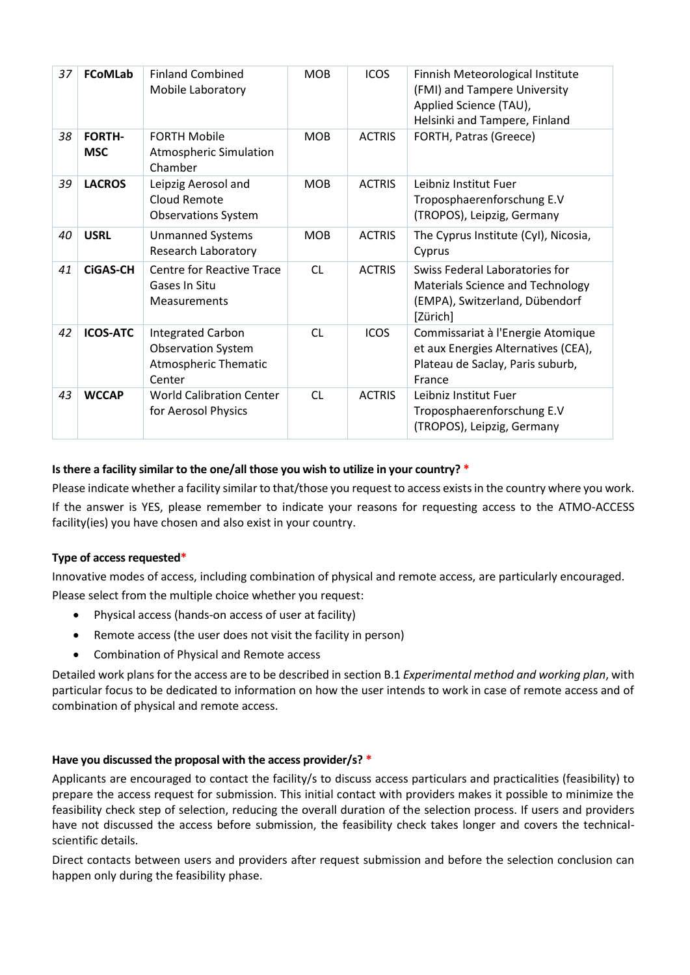| 37 | <b>FCoMLab</b>              | <b>Finland Combined</b><br>Mobile Laboratory                                                   | <b>MOB</b> | <b>ICOS</b>   | Finnish Meteorological Institute<br>(FMI) and Tampere University<br>Applied Science (TAU),<br>Helsinki and Tampere, Finland |
|----|-----------------------------|------------------------------------------------------------------------------------------------|------------|---------------|-----------------------------------------------------------------------------------------------------------------------------|
| 38 | <b>FORTH-</b><br><b>MSC</b> | <b>FORTH Mobile</b><br>Atmospheric Simulation<br>Chamber                                       | <b>MOB</b> | <b>ACTRIS</b> | FORTH, Patras (Greece)                                                                                                      |
| 39 | <b>LACROS</b>               | Leipzig Aerosol and<br>Cloud Remote<br><b>Observations System</b>                              | <b>MOB</b> | <b>ACTRIS</b> | Leibniz Institut Fuer<br>Troposphaerenforschung E.V<br>(TROPOS), Leipzig, Germany                                           |
| 40 | <b>USRL</b>                 | <b>Unmanned Systems</b><br><b>Research Laboratory</b>                                          | <b>MOB</b> | <b>ACTRIS</b> | The Cyprus Institute (CyI), Nicosia,<br>Cyprus                                                                              |
| 41 | <b>CiGAS-CH</b>             | <b>Centre for Reactive Trace</b><br>Gases In Situ<br><b>Measurements</b>                       | <b>CL</b>  | <b>ACTRIS</b> | Swiss Federal Laboratories for<br>Materials Science and Technology<br>(EMPA), Switzerland, Dübendorf<br>[Zürich]            |
| 42 | <b>ICOS-ATC</b>             | <b>Integrated Carbon</b><br><b>Observation System</b><br><b>Atmospheric Thematic</b><br>Center | <b>CL</b>  | <b>ICOS</b>   | Commissariat à l'Energie Atomique<br>et aux Energies Alternatives (CEA),<br>Plateau de Saclay, Paris suburb,<br>France      |
| 43 | <b>WCCAP</b>                | <b>World Calibration Center</b><br>for Aerosol Physics                                         | <b>CL</b>  | <b>ACTRIS</b> | Leibniz Institut Fuer<br>Troposphaerenforschung E.V<br>(TROPOS), Leipzig, Germany                                           |

# **Is there a facility similar to the one/all those you wish to utilize in your country? \***

Please indicate whether a facility similar to that/those you request to access exists in the country where you work. If the answer is YES, please remember to indicate your reasons for requesting access to the ATMO-ACCESS facility(ies) you have chosen and also exist in your country.

# **Type of access requested\***

Innovative modes of access, including combination of physical and remote access, are particularly encouraged. Please select from the multiple choice whether you request:

- Physical access (hands-on access of user at facility)
- Remote access (the user does not visit the facility in person)
- Combination of Physical and Remote access

Detailed work plans for the access are to be described in section B.1 *Experimental method and working plan*, with particular focus to be dedicated to information on how the user intends to work in case of remote access and of combination of physical and remote access.

### **Have you discussed the proposal with the access provider/s? \***

Applicants are encouraged to contact the facility/s to discuss access particulars and practicalities (feasibility) to prepare the access request for submission. This initial contact with providers makes it possible to minimize the feasibility check step of selection, reducing the overall duration of the selection process. If users and providers have not discussed the access before submission, the feasibility check takes longer and covers the technicalscientific details.

Direct contacts between users and providers after request submission and before the selection conclusion can happen only during the feasibility phase.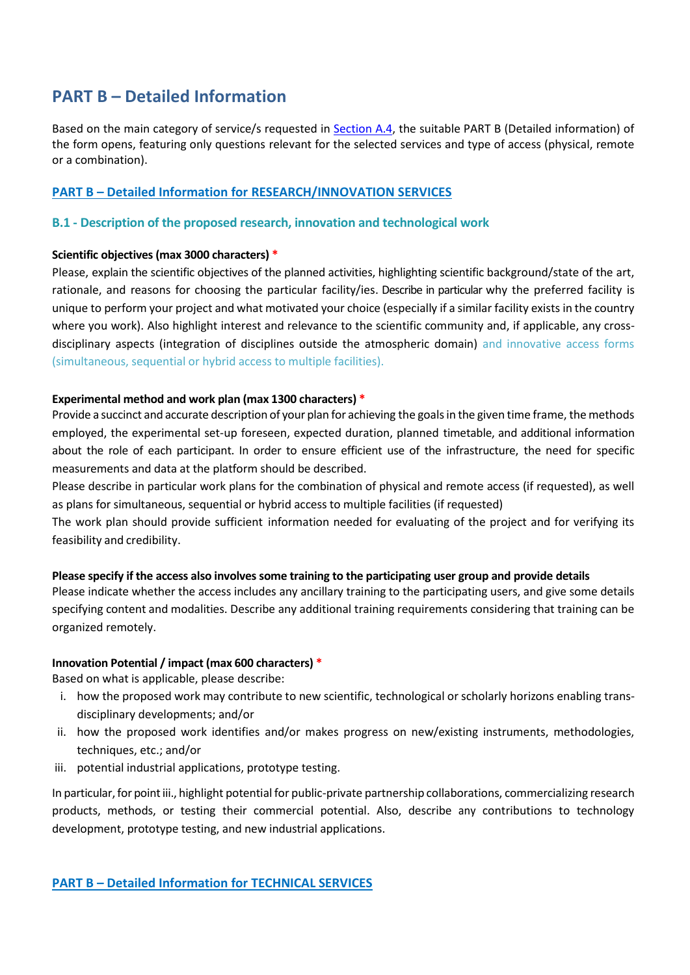# <span id="page-8-0"></span>**PART B – Detailed Information**

Based on the main category of service/s requested in [Section A.4,](#page-3-0) the suitable PART B (Detailed information) of the form opens, featuring only questions relevant for the selected services and type of access (physical, remote or a combination).

# **PART B – Detailed Information for RESEARCH/INNOVATION SERVICES**

# **B.1 - Description of the proposed research, innovation and technological work**

# **Scientific objectives (max 3000 characters) \***

Please, explain the scientific objectives of the planned activities, highlighting scientific background/state of the art, rationale, and reasons for choosing the particular facility/ies. Describe in particular why the preferred facility is unique to perform your project and what motivated your choice (especially if a similar facility exists in the country where you work). Also highlight interest and relevance to the scientific community and, if applicable, any crossdisciplinary aspects (integration of disciplines outside the atmospheric domain) and innovative access forms (simultaneous, sequential or hybrid access to multiple facilities).

# **Experimental method and work plan (max 1300 characters) \***

Provide a succinct and accurate description of your plan for achieving the goalsin the given time frame, the methods employed, the experimental set-up foreseen, expected duration, planned timetable, and additional information about the role of each participant. In order to ensure efficient use of the infrastructure, the need for specific measurements and data at the platform should be described.

Please describe in particular work plans for the combination of physical and remote access (if requested), as well as plans for simultaneous, sequential or hybrid access to multiple facilities (if requested)

The work plan should provide sufficient information needed for evaluating of the project and for verifying its feasibility and credibility.

### **Please specify if the access also involves some training to the participating user group and provide details**

Please indicate whether the access includes any ancillary training to the participating users, and give some details specifying content and modalities. Describe any additional training requirements considering that training can be organized remotely.

### **Innovation Potential / impact (max 600 characters) \***

Based on what is applicable, please describe:

- i. how the proposed work may contribute to new scientific, technological or scholarly horizons enabling trans‐ disciplinary developments; and/or
- ii. how the proposed work identifies and/or makes progress on new/existing instruments, methodologies, techniques, etc.; and/or
- iii. potential industrial applications, prototype testing.

In particular, for point iii., highlight potential for public-private partnership collaborations, commercializing research products, methods, or testing their commercial potential. Also, describe any contributions to technology development, prototype testing, and new industrial applications.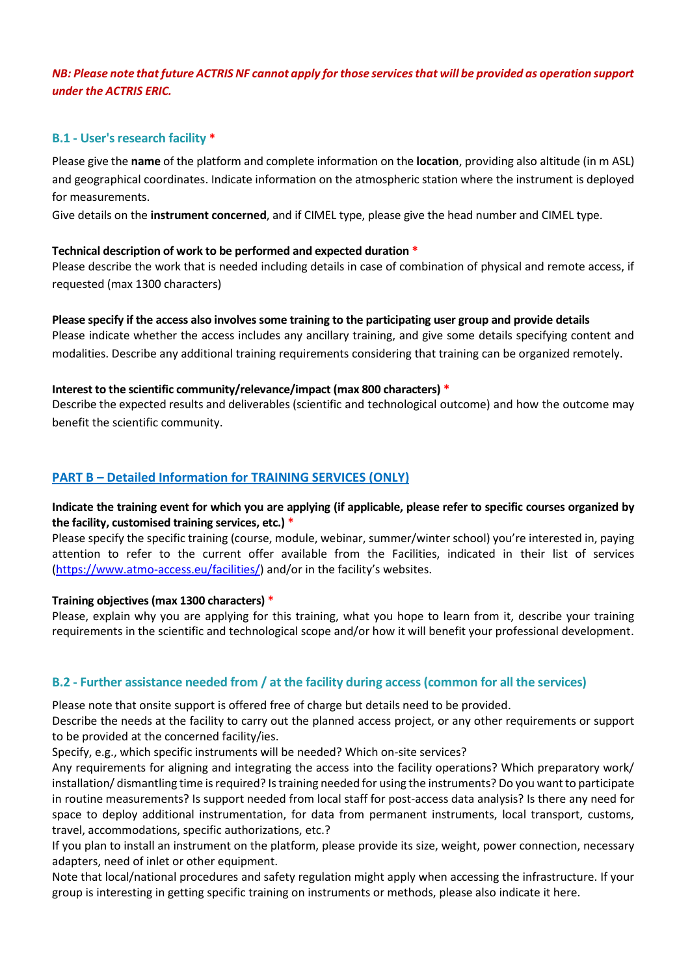# *NB: Please note that future ACTRIS NF cannot apply for those services that will be provided as operation support under the ACTRIS ERIC.*

# **B.1 - User's research facility \***

Please give the **name** of the platform and complete information on the **location**, providing also altitude (in m ASL) and geographical coordinates. Indicate information on the atmospheric station where the instrument is deployed for measurements.

Give details on the **instrument concerned**, and if CIMEL type, please give the head number and CIMEL type.

# **Technical description of work to be performed and expected duration \***

Please describe the work that is needed including details in case of combination of physical and remote access, if requested (max 1300 characters)

### **Please specify if the access also involves some training to the participating user group and provide details**

Please indicate whether the access includes any ancillary training, and give some details specifying content and modalities. Describe any additional training requirements considering that training can be organized remotely.

# **Interest to the scientific community/relevance/impact (max 800 characters) \***

Describe the expected results and deliverables (scientific and technological outcome) and how the outcome may benefit the scientific community.

# **PART B – Detailed Information for TRAINING SERVICES (ONLY)**

# **Indicate the training event for which you are applying (if applicable, please refer to specific courses organized by the facility, customised training services, etc.) \***

Please specify the specific training (course, module, webinar, summer/winter school) you're interested in, paying attention to refer to the current offer available from the Facilities, indicated in their list of services [\(https://www.atmo-access.eu/facilities/](https://www.atmo-access.eu/facilities/)) and/or in the facility's websites.

### **Training objectives(max 1300 characters) \***

Please, explain why you are applying for this training, what you hope to learn from it, describe your training requirements in the scientific and technological scope and/or how it will benefit your professional development.

# **B.2 - Further assistance needed from / at the facility during access (common for all the services)**

Please note that onsite support is offered free of charge but details need to be provided.

Describe the needs at the facility to carry out the planned access project, or any other requirements or support to be provided at the concerned facility/ies.

Specify, e.g., which specific instruments will be needed? Which on-site services?

Any requirements for aligning and integrating the access into the facility operations? Which preparatory work/ installation/ dismantling time is required? Is training needed for using the instruments? Do you wantto participate in routine measurements? Is support needed from local staff for post-access data analysis? Is there any need for space to deploy additional instrumentation, for data from permanent instruments, local transport, customs, travel, accommodations, specific authorizations, etc.?

If you plan to install an instrument on the platform, please provide its size, weight, power connection, necessary adapters, need of inlet or other equipment.

Note that local/national procedures and safety regulation might apply when accessing the infrastructure. If your group is interesting in getting specific training on instruments or methods, please also indicate it here.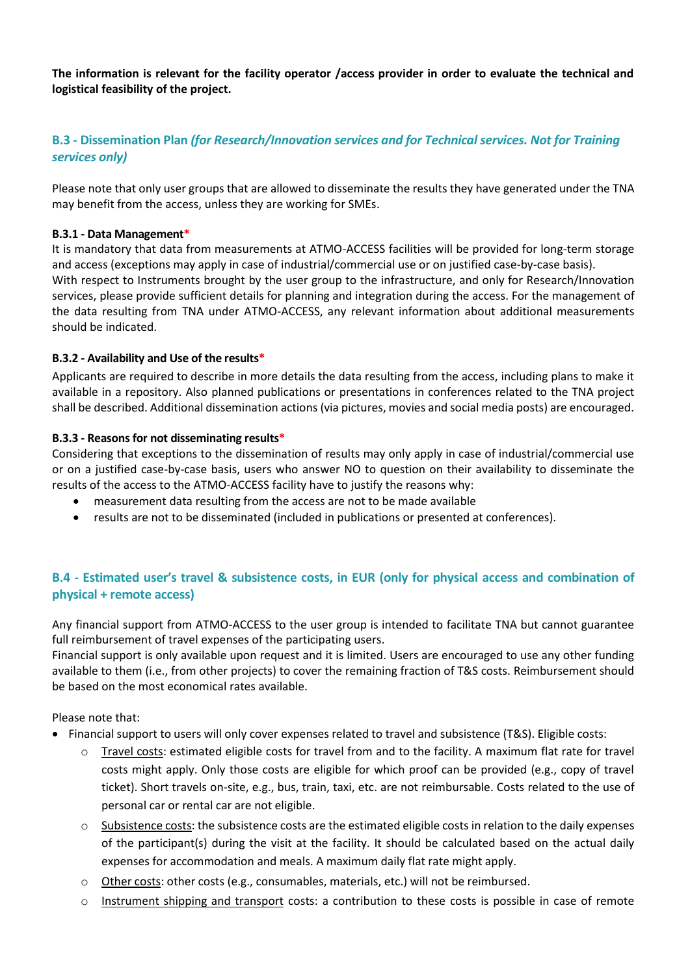**The information is relevant for the facility operator /access provider in order to evaluate the technical and logistical feasibility of the project.**

# **B.3 - Dissemination Plan** *(for Research/Innovation services and for Technical services. Not for Training services only)*

Please note that only user groups that are allowed to disseminate the results they have generated under the TNA may benefit from the access, unless they are working for SMEs.

### **B.3.1 - Data Management\***

It is mandatory that data from measurements at ATMO-ACCESS facilities will be provided for long-term storage and access (exceptions may apply in case of industrial/commercial use or on justified case-by-case basis). With respect to Instruments brought by the user group to the infrastructure, and only for Research/Innovation services, please provide sufficient details for planning and integration during the access. For the management of the data resulting from TNA under ATMO-ACCESS, any relevant information about additional measurements should be indicated.

# **B.3.2 - Availability and Use of the results\***

Applicants are required to describe in more details the data resulting from the access, including plans to make it available in a repository. Also planned publications or presentations in conferences related to the TNA project shall be described. Additional dissemination actions (via pictures, movies and social media posts) are encouraged.

# **B.3.3 - Reasons for not disseminating results\***

Considering that exceptions to the dissemination of results may only apply in case of industrial/commercial use or on a justified case-by-case basis, users who answer NO to question on their availability to disseminate the results of the access to the ATMO-ACCESS facility have to justify the reasons why:

- measurement data resulting from the access are not to be made available
- results are not to be disseminated (included in publications or presented at conferences).

# **B.4 - Estimated user's travel & subsistence costs, in EUR (only for physical access and combination of physical + remote access)**

Any financial support from ATMO-ACCESS to the user group is intended to facilitate TNA but cannot guarantee full reimbursement of travel expenses of the participating users.

Financial support is only available upon request and it is limited. Users are encouraged to use any other funding available to them (i.e., from other projects) to cover the remaining fraction of T&S costs. Reimbursement should be based on the most economical rates available.

Please note that:

- Financial support to users will only cover expenses related to travel and subsistence (T&S). Eligible costs:
	- $\circ$  Travel costs: estimated eligible costs for travel from and to the facility. A maximum flat rate for travel costs might apply. Only those costs are eligible for which proof can be provided (e.g., copy of travel ticket). Short travels on-site, e.g., bus, train, taxi, etc. are not reimbursable. Costs related to the use of personal car or rental car are not eligible.
	- $\circ$  Subsistence costs: the subsistence costs are the estimated eligible costs in relation to the daily expenses of the participant(s) during the visit at the facility. It should be calculated based on the actual daily expenses for accommodation and meals. A maximum daily flat rate might apply.
	- $\circ$  Other costs: other costs (e.g., consumables, materials, etc.) will not be reimbursed.
	- $\circ$  Instrument shipping and transport costs: a contribution to these costs is possible in case of remote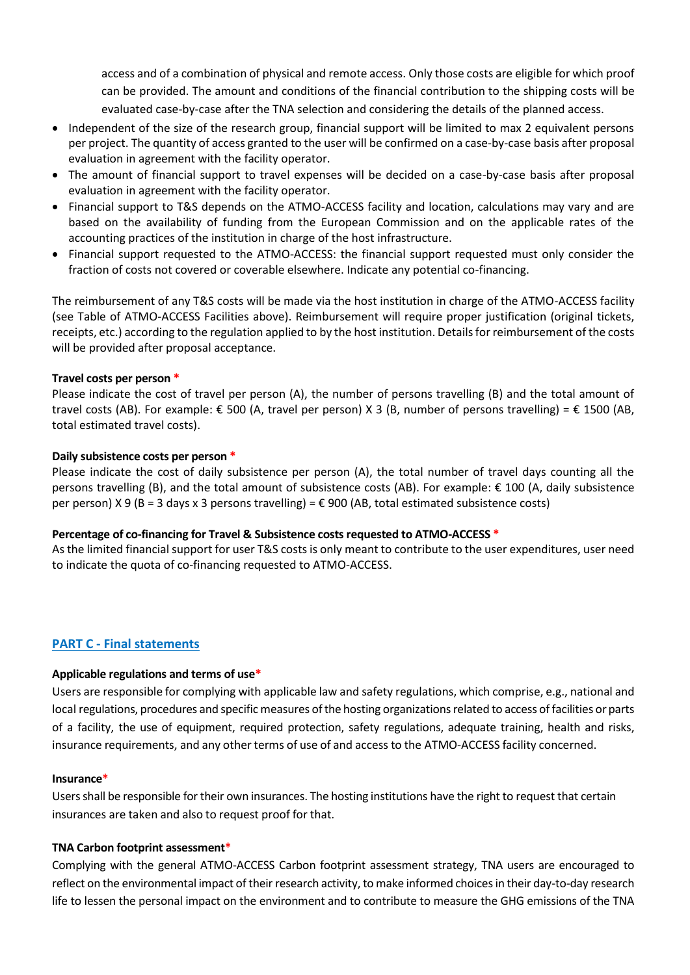access and of a combination of physical and remote access. Only those costs are eligible for which proof can be provided. The amount and conditions of the financial contribution to the shipping costs will be evaluated case-by-case after the TNA selection and considering the details of the planned access.

- Independent of the size of the research group, financial support will be limited to max 2 equivalent persons per project. The quantity of access granted to the user will be confirmed on a case-by-case basis after proposal evaluation in agreement with the facility operator.
- The amount of financial support to travel expenses will be decided on a case-by-case basis after proposal evaluation in agreement with the facility operator.
- Financial support to T&S depends on the ATMO-ACCESS facility and location, calculations may vary and are based on the availability of funding from the European Commission and on the applicable rates of the accounting practices of the institution in charge of the host infrastructure.
- Financial support requested to the ATMO-ACCESS: the financial support requested must only consider the fraction of costs not covered or coverable elsewhere. Indicate any potential co-financing.

The reimbursement of any T&S costs will be made via the host institution in charge of the ATMO-ACCESS facility (see Table of ATMO-ACCESS Facilities above). Reimbursement will require proper justification (original tickets, receipts, etc.) according to the regulation applied to by the host institution. Details for reimbursement of the costs will be provided after proposal acceptance.

### **Travel costs per person \***

Please indicate the cost of travel per person (A), the number of persons travelling (B) and the total amount of travel costs (AB). For example:  $\epsilon$  500 (A, travel per person) X 3 (B, number of persons travelling) =  $\epsilon$  1500 (AB, total estimated travel costs).

### **Daily subsistence costs per person \***

Please indicate the cost of daily subsistence per person (A), the total number of travel days counting all the persons travelling (B), and the total amount of subsistence costs (AB). For example: € 100 (A, daily subsistence per person) X 9 (B = 3 days x 3 persons travelling) = € 900 (AB, total estimated subsistence costs)

### **Percentage of co-financing for Travel & Subsistence costs requested to ATMO-ACCESS \***

As the limited financial support for user T&S costs is only meant to contribute to the user expenditures, user need to indicate the quota of co-financing requested to ATMO-ACCESS.

# **PART C - Final statements**

### **Applicable regulations and terms of use\***

Users are responsible for complying with applicable law and safety regulations, which comprise, e.g., national and local regulations, procedures and specific measures of the hosting organizations related to access of facilities or parts of a facility, the use of equipment, required protection, safety regulations, adequate training, health and risks, insurance requirements, and any other terms of use of and access to the ATMO-ACCESS facility concerned.

### **Insurance\***

Usersshall be responsible for their own insurances. The hosting institutions have the right to request that certain insurances are taken and also to request proof for that.

### **TNA Carbon footprint assessment\***

Complying with the general ATMO-ACCESS Carbon footprint assessment strategy, TNA users are encouraged to reflect on the environmental impact of their research activity, to make informed choices in their day-to-day research life to lessen the personal impact on the environment and to contribute to measure the GHG emissions of the TNA